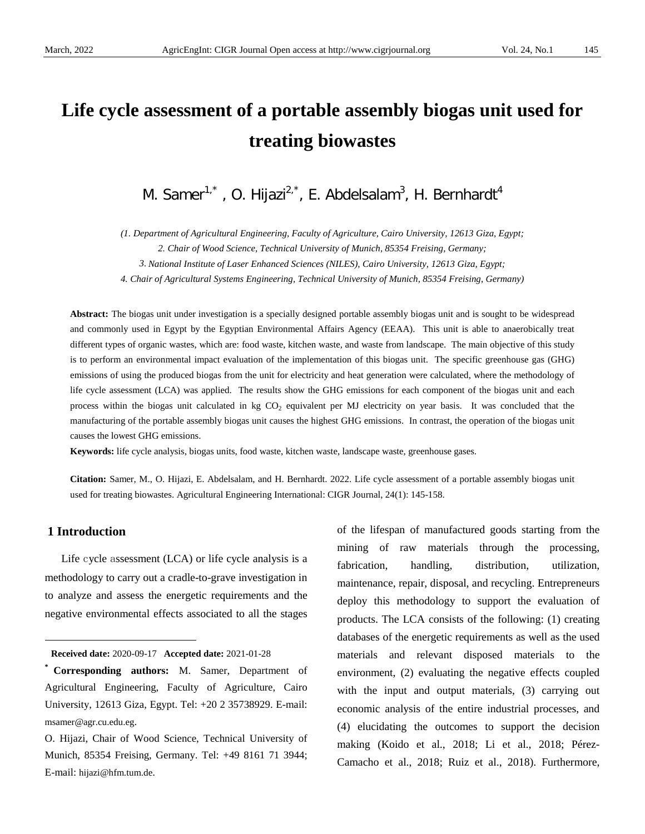# **Life cycle assessment of a portable assembly biogas unit used for treating biowastes**

M. Samer $1^*$ , O. Hijazi $^{2,*}$ , E. Abdelsalam $^3$ , H. Bernhardt $^4$ 

*(1. Department of Agricultural Engineering, Faculty of Agriculture, Cairo University, 12613 Giza, Egypt;*

*2. Chair of Wood Science, Technical University of Munich, 85354 Freising, Germany;*

*3. National Institute of Laser Enhanced Sciences (NILES), Cairo University, 12613 Giza, Egypt;*

*4. Chair of Agricultural Systems Engineering, Technical University of Munich, 85354 Freising, Germany)*

**Abstract:** The biogas unit under investigation is a specially designed portable assembly biogas unit and is sought to be widespread and commonly used in Egypt by the Egyptian Environmental Affairs Agency (EEAA). This unit is able to anaerobically treat different types of organic wastes, which are: food waste, kitchen waste, and waste from landscape. The main objective of this study is to perform an environmental impact evaluation of the implementation of this biogas unit. The specific greenhouse gas (GHG) emissions of using the produced biogas from the unit for electricity and heat generation were calculated, where the methodology of life cycle assessment (LCA) was applied. The results show the GHG emissions for each component of the biogas unit and each process within the biogas unit calculated in kg CO<sub>2</sub> equivalent per MJ electricity on year basis. It was concluded that the manufacturing of the portable assembly biogas unit causes the highest GHG emissions. In contrast, the operation of the biogas unit causes the lowest GHG emissions.

**Keywords:** life cycle analysis, biogas units, food waste, kitchen waste, landscape waste, greenhouse gases.

**Citation:** Samer, M., O. Hijazi, E. Abdelsalam, and H. Bernhardt. 2022. Life cycle assessment of a portable assembly biogas unit used for treating biowastes. Agricultural Engineering International: CIGR Journal, 24(1): 145-158.

# **1 Introduction**

<span id="page-0-0"></span> $\overline{a}$ 

Life cycle assessment (LCA) or life cycle analysis is a methodology to carry out a cradle-to-grave investigation in to analyze and assess the energetic requirements and the negative environmental effects associated to all the stages of the lifespan of manufactured goods starting from the mining of raw materials through the processing, fabrication, handling, distribution, utilization, maintenance, repair, disposal, and recycling. Entrepreneurs deploy this methodology to support the evaluation of products. The LCA consists of the following: (1) creating databases of the energetic requirements as well as the used materials and relevant disposed materials to the environment, (2) evaluating the negative effects coupled with the input and output materials, (3) carrying out economic analysis of the entire industrial processes, and (4) elucidating the outcomes to support the decision making (Koido et al., 2018; Li et al., 2018; Pérez-Camacho et al., 2018; Ruiz et al., 2018). Furthermore,

**Received date:** 2020-09-17 **Accepted date:** 2021-01-28

**<sup>\*</sup> Corresponding authors:** M. Samer, Department of Agricultural Engineering, Faculty of Agriculture, Cairo University, 12613 Giza, Egypt. Tel: +20 2 35738929. E-mail: msamer@agr.cu.edu.eg.

O. Hijazi, Chair of Wood Science, Technical University of Munich, 85354 Freising, Germany. Tel: +49 8161 71 3944; E-mail: hijazi@hfm.tum.de.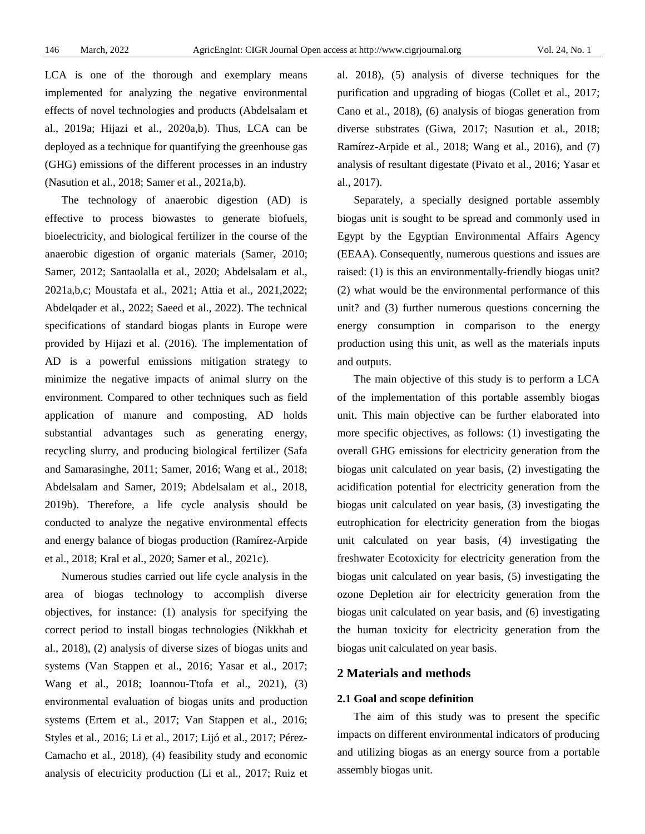LCA is one of the thorough and exemplary means implemented for analyzing the negative environmental effects of novel technologies and products (Abdelsalam et al., 2019a; Hijazi et al., 2020a,b). Thus, LCA can be deployed as a technique for quantifying the greenhouse gas (GHG) emissions of the different processes in an industry (Nasution et al., 2018; Samer et al., 2021a,b).

The technology of anaerobic digestion (AD) is effective to process biowastes to generate biofuels, bioelectricity, and biological fertilizer in the course of the anaerobic digestion of organic materials (Samer, 2010; Samer, 2012; Santaolalla et al., 2020; Abdelsalam et al., 2021a,b,c; Moustafa et al., 2021; Attia et al., 2021,2022; Abdelqader et al., 2022; Saeed et al., 2022). The technical specifications of standard biogas plants in Europe were provided by Hijazi et al. (2016). The implementation of AD is a powerful emissions mitigation strategy to minimize the negative impacts of animal slurry on the environment. Compared to other techniques such as field application of manure and composting, AD holds substantial advantages such as generating energy, recycling slurry, and producing biological fertilizer (Safa and Samarasinghe, 2011; Samer, 2016; Wang et al., 2018; Abdelsalam and Samer, 2019; Abdelsalam et al., 2018, 2019b). Therefore, a life cycle analysis should be conducted to analyze the negative environmental effects and energy balance of biogas production (Ramírez-Arpide et al., 2018; Kral et al., 2020; Samer et al., 2021c).

Numerous studies carried out life cycle analysis in the area of biogas technology to accomplish diverse objectives, for instance: (1) analysis for specifying the correct period to install biogas technologies (Nikkhah et al., 2018), (2) analysis of diverse sizes of biogas units and systems (Van Stappen et al., 2016; Yasar et al., 2017; Wang et al., 2018; Ioannou-Ttofa et al., 2021), (3) environmental evaluation of biogas units and production systems (Ertem et al., 2017; Van Stappen et al., 2016; Styles et al., 2016; Li et al., 2017; Lijó et al., 2017; Pérez-Camacho et al., 2018), (4) feasibility study and economic analysis of electricity production (Li et al., 2017; Ruiz et

al. 2018), (5) analysis of diverse techniques for the purification and upgrading of biogas (Collet et al., 2017; Cano et al., 2018), (6) analysis of biogas generation from diverse substrates (Giwa, 2017; Nasution et al., 2018; Ramírez-Arpide et al., 2018; Wang et al., 2016), and (7) analysis of resultant digestate (Pivato et al., 2016; Yasar et al., 2017).

Separately, a specially designed portable assembly biogas unit is sought to be spread and commonly used in Egypt by the Egyptian Environmental Affairs Agency (EEAA). Consequently, numerous questions and issues are raised: (1) is this an environmentally-friendly biogas unit? (2) what would be the environmental performance of this unit? and (3) further numerous questions concerning the energy consumption in comparison to the energy production using this unit, as well as the materials inputs and outputs.

The main objective of this study is to perform a LCA of the implementation of this portable assembly biogas unit. This main objective can be further elaborated into more specific objectives, as follows: (1) investigating the overall GHG emissions for electricity generation from the biogas unit calculated on year basis, (2) investigating the acidification potential for electricity generation from the biogas unit calculated on year basis, (3) investigating the eutrophication for electricity generation from the biogas unit calculated on year basis, (4) investigating the freshwater Ecotoxicity for electricity generation from the biogas unit calculated on year basis, (5) investigating the ozone Depletion air for electricity generation from the biogas unit calculated on year basis, and (6) investigating the human toxicity for electricity generation from the biogas unit calculated on year basis.

# **2 Materials and methods**

#### **2.1 Goal and scope definition**

The aim of this study was to present the specific impacts on different environmental indicators of producing and utilizing biogas as an energy source from a portable assembly biogas unit.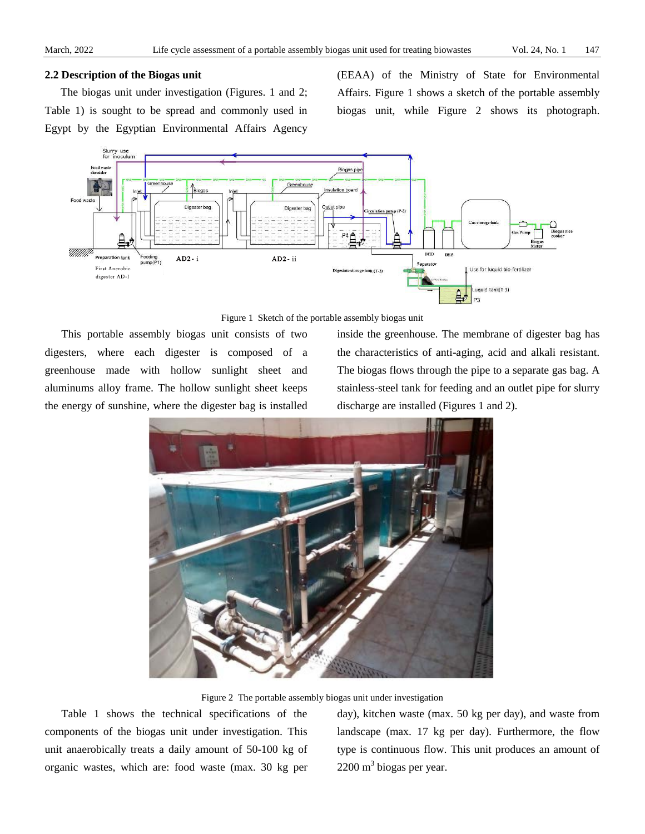#### **2.2 Description of the Biogas unit**

The biogas unit under investigation (Figures. 1 and 2; Table 1) is sought to be spread and commonly used in Egypt by the Egyptian Environmental Affairs Agency (EEAA) of the Ministry of State for Environmental Affairs. Figure 1 shows a sketch of the portable assembly biogas unit, while Figure 2 shows its photograph.





This portable assembly biogas unit consists of two digesters, where each digester is composed of a greenhouse made with hollow sunlight sheet and aluminums alloy frame. The hollow sunlight sheet keeps the energy of sunshine, where the digester bag is installed inside the greenhouse. The membrane of digester bag has the characteristics of anti-aging, acid and alkali resistant. The biogas flows through the pipe to a separate gas bag. A stainless-steel tank for feeding and an outlet pipe for slurry discharge are installed (Figures 1 and 2).



Figure 2 The portable assembly biogas unit under investigation

Table 1 shows the technical specifications of the components of the biogas unit under investigation. This unit anaerobically treats a daily amount of 50-100 kg of organic wastes, which are: food waste (max. 30 kg per

day), kitchen waste (max. 50 kg per day), and waste from landscape (max. 17 kg per day). Furthermore, the flow type is continuous flow. This unit produces an amount of  $2200 \text{ m}^3$  biogas per year.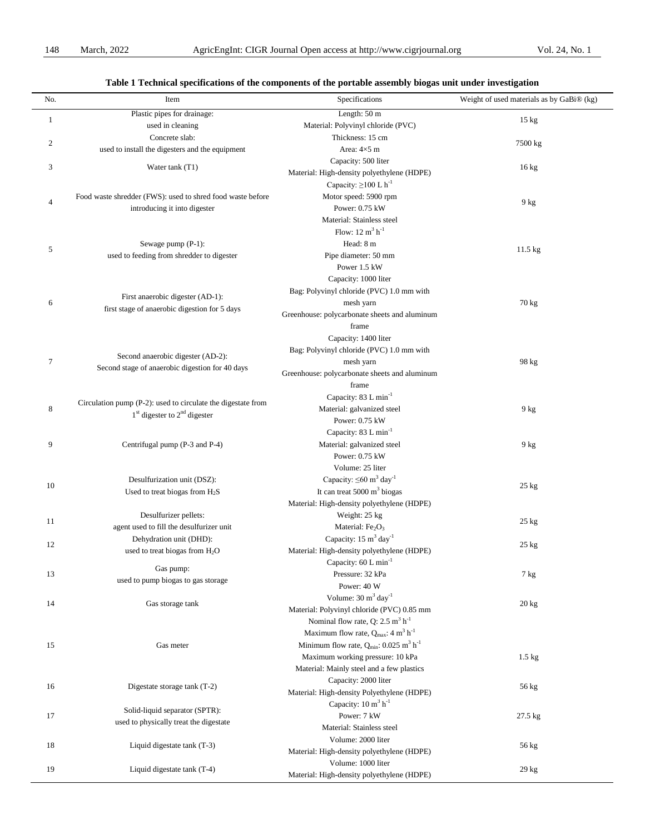| Table 1 Technical specifications of the components of the portable assembly biogas unit under investigation |                                                                                   |                                                                     |                                           |  |  |  |  |
|-------------------------------------------------------------------------------------------------------------|-----------------------------------------------------------------------------------|---------------------------------------------------------------------|-------------------------------------------|--|--|--|--|
| No.                                                                                                         | Item                                                                              | Specifications                                                      | Weight of used materials as by GaBi® (kg) |  |  |  |  |
| 1                                                                                                           | Plastic pipes for drainage:                                                       | Length: 50 m                                                        | $15 \text{ kg}$                           |  |  |  |  |
|                                                                                                             | used in cleaning                                                                  | Material: Polyvinyl chloride (PVC)                                  |                                           |  |  |  |  |
| $\boldsymbol{2}$                                                                                            | Concrete slab:                                                                    | Thickness: 15 cm                                                    | 7500 kg                                   |  |  |  |  |
|                                                                                                             | used to install the digesters and the equipment                                   | Area: 4×5 m                                                         |                                           |  |  |  |  |
| 3                                                                                                           | Water tank (T1)                                                                   | Capacity: 500 liter                                                 | 16 kg                                     |  |  |  |  |
|                                                                                                             |                                                                                   | Material: High-density polyethylene (HDPE)                          |                                           |  |  |  |  |
|                                                                                                             |                                                                                   | Capacity: $\geq$ 100 L h <sup>-1</sup>                              |                                           |  |  |  |  |
| 4                                                                                                           | Food waste shredder (FWS): used to shred food waste before                        | Motor speed: 5900 rpm                                               | $9$ kg                                    |  |  |  |  |
|                                                                                                             | introducing it into digester                                                      | Power: 0.75 kW                                                      |                                           |  |  |  |  |
|                                                                                                             |                                                                                   | Material: Stainless steel                                           |                                           |  |  |  |  |
|                                                                                                             |                                                                                   | Flow: $12 \text{ m}^3 \text{ h}^{-1}$                               |                                           |  |  |  |  |
| 5                                                                                                           | Sewage pump (P-1):                                                                | Head: 8 m                                                           | 11.5 kg                                   |  |  |  |  |
|                                                                                                             | used to feeding from shredder to digester                                         | Pipe diameter: 50 mm                                                |                                           |  |  |  |  |
|                                                                                                             |                                                                                   | Power 1.5 kW                                                        |                                           |  |  |  |  |
|                                                                                                             |                                                                                   | Capacity: 1000 liter                                                |                                           |  |  |  |  |
|                                                                                                             |                                                                                   | Bag: Polyvinyl chloride (PVC) 1.0 mm with                           |                                           |  |  |  |  |
| 6                                                                                                           | First anaerobic digester (AD-1):<br>first stage of anaerobic digestion for 5 days | mesh yarn                                                           | 70 kg                                     |  |  |  |  |
|                                                                                                             |                                                                                   | Greenhouse: polycarbonate sheets and aluminum                       |                                           |  |  |  |  |
|                                                                                                             |                                                                                   | frame                                                               |                                           |  |  |  |  |
|                                                                                                             |                                                                                   | Capacity: 1400 liter                                                |                                           |  |  |  |  |
|                                                                                                             |                                                                                   | Bag: Polyvinyl chloride (PVC) 1.0 mm with                           |                                           |  |  |  |  |
| $\tau$                                                                                                      | Second anaerobic digester (AD-2):                                                 | mesh yarn                                                           | 98 kg                                     |  |  |  |  |
|                                                                                                             | Second stage of anaerobic digestion for 40 days                                   | Greenhouse: polycarbonate sheets and aluminum                       |                                           |  |  |  |  |
|                                                                                                             |                                                                                   | frame                                                               |                                           |  |  |  |  |
|                                                                                                             |                                                                                   | Capacity: 83 L min <sup>-1</sup>                                    |                                           |  |  |  |  |
| 8                                                                                                           | Circulation pump (P-2): used to circulate the digestate from                      | Material: galvanized steel                                          | $9$ kg                                    |  |  |  |  |
|                                                                                                             | $1st$ digester to $2nd$ digester                                                  | Power: 0.75 kW                                                      |                                           |  |  |  |  |
|                                                                                                             |                                                                                   | Capacity: 83 L min <sup>-1</sup>                                    |                                           |  |  |  |  |
| 9                                                                                                           | Centrifugal pump (P-3 and P-4)                                                    | Material: galvanized steel                                          | $9$ kg                                    |  |  |  |  |
|                                                                                                             |                                                                                   | Power: 0.75 kW                                                      |                                           |  |  |  |  |
|                                                                                                             |                                                                                   | Volume: 25 liter                                                    |                                           |  |  |  |  |
|                                                                                                             | Desulfurization unit (DSZ):                                                       | Capacity: $\leq 60$ m <sup>3</sup> day <sup>-1</sup>                |                                           |  |  |  |  |
| 10                                                                                                          | Used to treat biogas from $H_2S$                                                  | It can treat $5000 \text{ m}^3$ biogas                              | $25$ kg                                   |  |  |  |  |
|                                                                                                             |                                                                                   | Material: High-density polyethylene (HDPE)                          |                                           |  |  |  |  |
|                                                                                                             | Desulfurizer pellets:                                                             | Weight: 25 kg                                                       |                                           |  |  |  |  |
| 11                                                                                                          | agent used to fill the desulfurizer unit                                          | Material: Fe <sub>2</sub> O <sub>3</sub>                            | $25 \text{ kg}$                           |  |  |  |  |
|                                                                                                             | Dehydration unit (DHD):                                                           | Capacity: $15 \text{ m}^3$ day <sup>-1</sup>                        |                                           |  |  |  |  |
| 12                                                                                                          | used to treat biogas from H <sub>2</sub> O                                        | Material: High-density polyethylene (HDPE)                          | $25$ kg                                   |  |  |  |  |
|                                                                                                             |                                                                                   | Capacity: 60 L min <sup>-1</sup>                                    |                                           |  |  |  |  |
| 13                                                                                                          | Gas pump:                                                                         | Pressure: 32 kPa                                                    | 7 kg                                      |  |  |  |  |
|                                                                                                             | used to pump biogas to gas storage                                                | Power: 40 W                                                         |                                           |  |  |  |  |
|                                                                                                             |                                                                                   | Volume: $30 \text{ m}^3$ day <sup>-1</sup>                          |                                           |  |  |  |  |
| 14                                                                                                          | Gas storage tank                                                                  | Material: Polyvinyl chloride (PVC) 0.85 mm                          | $20 \text{ kg}$                           |  |  |  |  |
|                                                                                                             |                                                                                   | Nominal flow rate, Q: $2.5 \text{ m}^3 \text{ h}^{-1}$              |                                           |  |  |  |  |
|                                                                                                             |                                                                                   | Maximum flow rate, $Q_{max}$ : 4 m <sup>3</sup> h <sup>-1</sup>     |                                           |  |  |  |  |
| 15                                                                                                          | Gas meter                                                                         | Minimum flow rate, $Q_{min}$ : 0.025 m <sup>3</sup> h <sup>-1</sup> |                                           |  |  |  |  |
|                                                                                                             |                                                                                   | Maximum working pressure: 10 kPa                                    | $1.5 \text{ kg}$                          |  |  |  |  |
|                                                                                                             |                                                                                   | Material: Mainly steel and a few plastics                           |                                           |  |  |  |  |
|                                                                                                             |                                                                                   | Capacity: 2000 liter                                                |                                           |  |  |  |  |
| 16                                                                                                          | Digestate storage tank (T-2)                                                      | Material: High-density Polyethylene (HDPE)                          | 56 kg                                     |  |  |  |  |
|                                                                                                             |                                                                                   | Capacity: 10 m <sup>3</sup> h <sup>-1</sup>                         |                                           |  |  |  |  |
|                                                                                                             | Solid-liquid separator (SPTR):                                                    | Power: 7 kW                                                         |                                           |  |  |  |  |
| 17                                                                                                          | used to physically treat the digestate                                            |                                                                     | 27.5 kg                                   |  |  |  |  |
|                                                                                                             |                                                                                   | Material: Stainless steel                                           |                                           |  |  |  |  |
| 18                                                                                                          | Liquid digestate tank (T-3)                                                       | Volume: 2000 liter                                                  | 56 kg                                     |  |  |  |  |
|                                                                                                             |                                                                                   | Material: High-density polyethylene (HDPE)                          |                                           |  |  |  |  |
| 19                                                                                                          | Liquid digestate tank (T-4)                                                       | Volume: 1000 liter                                                  | 29 kg                                     |  |  |  |  |
|                                                                                                             |                                                                                   | Material: High-density polyethylene (HDPE)                          |                                           |  |  |  |  |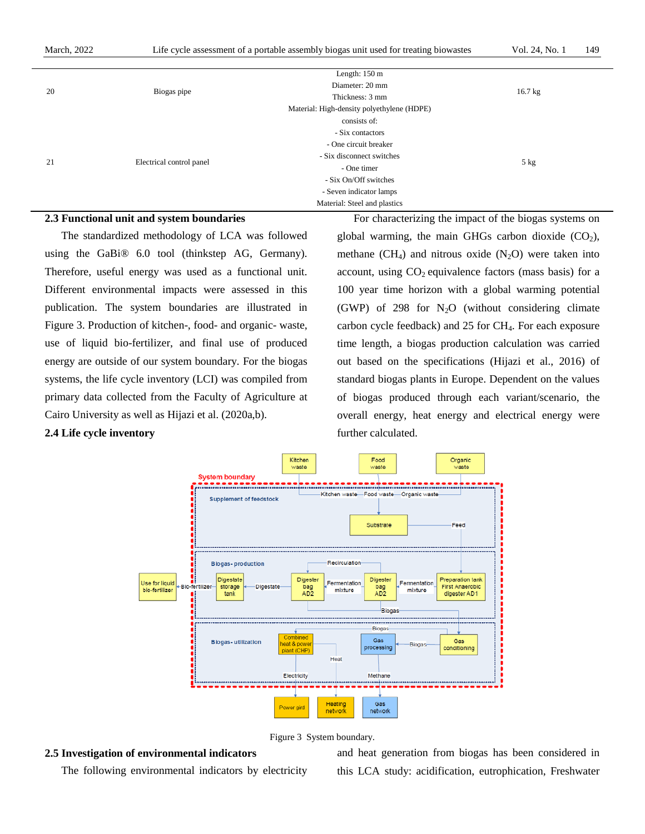|    |                          | Length: $150 \text{ m}$                    |           |
|----|--------------------------|--------------------------------------------|-----------|
| 20 | Biogas pipe              | Diameter: 20 mm                            |           |
|    |                          | Thickness: 3 mm                            | $16.7$ kg |
|    |                          | Material: High-density polyethylene (HDPE) |           |
|    | Electrical control panel | consists of:                               |           |
|    |                          | - Six contactors                           |           |
|    |                          | - One circuit breaker                      |           |
| 21 |                          | - Six disconnect switches                  |           |
|    |                          | - One timer                                | 5 kg      |
|    |                          | - Six On/Off switches                      |           |
|    |                          | - Seven indicator lamps                    |           |
|    |                          | Material: Steel and plastics               |           |

#### **2.3 Functional unit and system boundaries**

The standardized methodology of LCA was followed using the GaBi® 6.0 tool (thinkstep AG, Germany). Therefore, useful energy was used as a functional unit. Different environmental impacts were assessed in this publication. The system boundaries are illustrated in Figure 3. Production of kitchen-, food- and organic- waste, use of liquid bio-fertilizer, and final use of produced energy are outside of our system boundary. For the biogas systems, the life cycle inventory (LCI) was compiled from primary data collected from the Faculty of Agriculture at Cairo University as well as Hijazi et al. (2020a,b).

#### **2.4 Life cycle inventory**

For characterizing the impact of the biogas systems on global warming, the main GHGs carbon dioxide  $(CO<sub>2</sub>)$ , methane (CH<sub>4</sub>) and nitrous oxide (N<sub>2</sub>O) were taken into account, using  $CO<sub>2</sub>$  equivalence factors (mass basis) for a 100 year time horizon with a global warming potential (GWP) of 298 for  $N_2O$  (without considering climate carbon cycle feedback) and  $25$  for  $CH<sub>4</sub>$ . For each exposure time length, a biogas production calculation was carried out based on the specifications (Hijazi et al., 2016) of standard biogas plants in Europe. Dependent on the values of biogas produced through each variant/scenario, the overall energy, heat energy and electrical energy were further calculated.





#### **2.5 Investigation of environmental indicators**

The following environmental indicators by electricity

and heat generation from biogas has been considered in this LCA study: acidification, eutrophication, Freshwater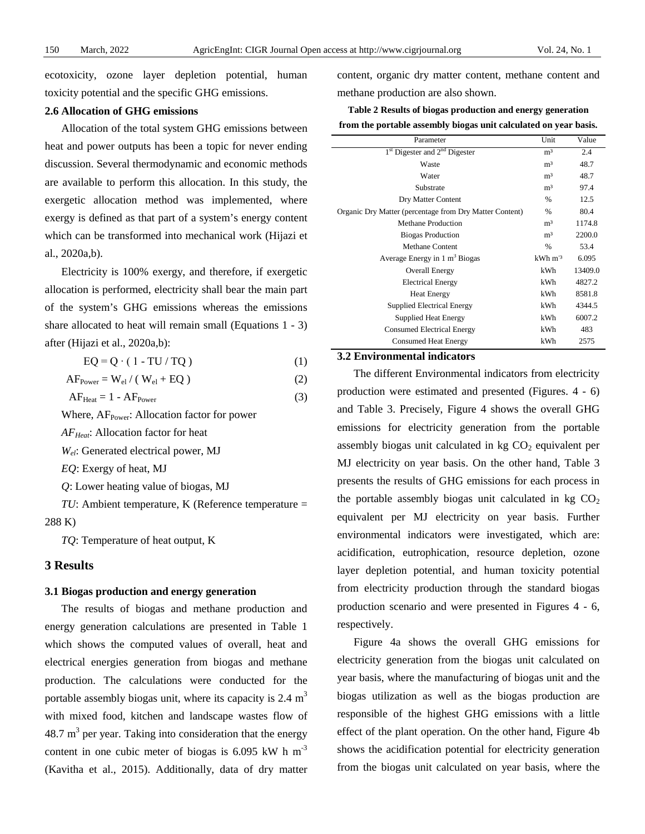ecotoxicity, ozone layer depletion potential, human toxicity potential and the specific GHG emissions.

#### **2.6 Allocation of GHG emissions**

Allocation of the total system GHG emissions between heat and power outputs has been a topic for never ending discussion. Several thermodynamic and economic methods are available to perform this allocation. In this study, the exergetic allocation method was implemented, where exergy is defined as that part of a system's energy content which can be transformed into mechanical work (Hijazi et al., 2020a,b).

Electricity is 100% exergy, and therefore, if exergetic allocation is performed, electricity shall bear the main part of the system's GHG emissions whereas the emissions share allocated to heat will remain small (Equations 1 - 3) after (Hijazi et al., 2020a,b):

$$
EQ = Q \cdot (1 - TU / TQ)
$$
 (1)

$$
AFPower = Wel / (Wel + EQ)
$$
 (2)

$$
AF_{Heat} = 1 - AF_{Power}
$$
 (3)

Where, AF<sub>Power</sub>: Allocation factor for power

*AFHeat*: Allocation factor for heat

*Wel*: Generated electrical power, MJ

*EQ*: Exergy of heat, MJ

*Q*: Lower heating value of biogas, MJ

*TU*: Ambient temperature, K (Reference temperature = 288 K)

*TQ*: Temperature of heat output, K

# **3 Results**

#### **3.1 Biogas production and energy generation**

The results of biogas and methane production and energy generation calculations are presented in Table 1 which shows the computed values of overall, heat and electrical energies generation from biogas and methane production. The calculations were conducted for the portable assembly biogas unit, where its capacity is  $2.4 \text{ m}^3$ with mixed food, kitchen and landscape wastes flow of 48.7  $m<sup>3</sup>$  per year. Taking into consideration that the energy content in one cubic meter of biogas is 6.095 kW h  $m<sup>-3</sup>$ (Kavitha et al., 2015). Additionally, data of dry matter content, organic dry matter content, methane content and methane production are also shown.

**Table 2 Results of biogas production and energy generation from the portable assembly biogas unit calculated on year basis.**

| Parameter                                               | Unit                  | Value   |
|---------------------------------------------------------|-----------------------|---------|
| $1st$ Digester and $2nd$ Digester                       | m <sup>3</sup>        | 2.4     |
| Waste                                                   | m <sup>3</sup>        | 48.7    |
| Water                                                   | m <sup>3</sup>        | 48.7    |
| Substrate                                               | m <sup>3</sup>        | 97.4    |
| Dry Matter Content                                      | $\%$                  | 12.5    |
| Organic Dry Matter (percentage from Dry Matter Content) | $\%$                  | 80.4    |
| Methane Production                                      | m <sup>3</sup>        | 1174.8  |
| <b>Biogas Production</b>                                | m <sup>3</sup>        | 2200.0  |
| Methane Content                                         | %                     | 53.4    |
| Average Energy in 1 m <sup>3</sup> Biogas               | $kWh$ m <sup>-3</sup> | 6.095   |
| Overall Energy                                          | kWh                   | 13409.0 |
| <b>Electrical Energy</b>                                | kWh                   | 4827.2  |
| <b>Heat Energy</b>                                      | kWh                   | 8581.8  |
| <b>Supplied Electrical Energy</b>                       | kWh                   | 4344.5  |
| <b>Supplied Heat Energy</b>                             | kWh                   | 6007.2  |
| <b>Consumed Electrical Energy</b>                       | kWh                   | 483     |
| <b>Consumed Heat Energy</b>                             | kWh                   | 2575    |
|                                                         |                       |         |

## **3.2 Environmental indicators**

The different Environmental indicators from electricity production were estimated and presented (Figures. 4 - 6) and Table 3. Precisely, Figure 4 shows the overall GHG emissions for electricity generation from the portable assembly biogas unit calculated in  $kg CO<sub>2</sub>$  equivalent per MJ electricity on year basis. On the other hand, Table 3 presents the results of GHG emissions for each process in the portable assembly biogas unit calculated in  $kg CO<sub>2</sub>$ equivalent per MJ electricity on year basis. Further environmental indicators were investigated, which are: acidification, eutrophication, resource depletion, ozone layer depletion potential, and human toxicity potential from electricity production through the standard biogas production scenario and were presented in Figures 4 - 6, respectively.

Figure 4a shows the overall GHG emissions for electricity generation from the biogas unit calculated on year basis, where the manufacturing of biogas unit and the biogas utilization as well as the biogas production are responsible of the highest GHG emissions with a little effect of the plant operation. On the other hand, Figure 4b shows the acidification potential for electricity generation from the biogas unit calculated on year basis, where the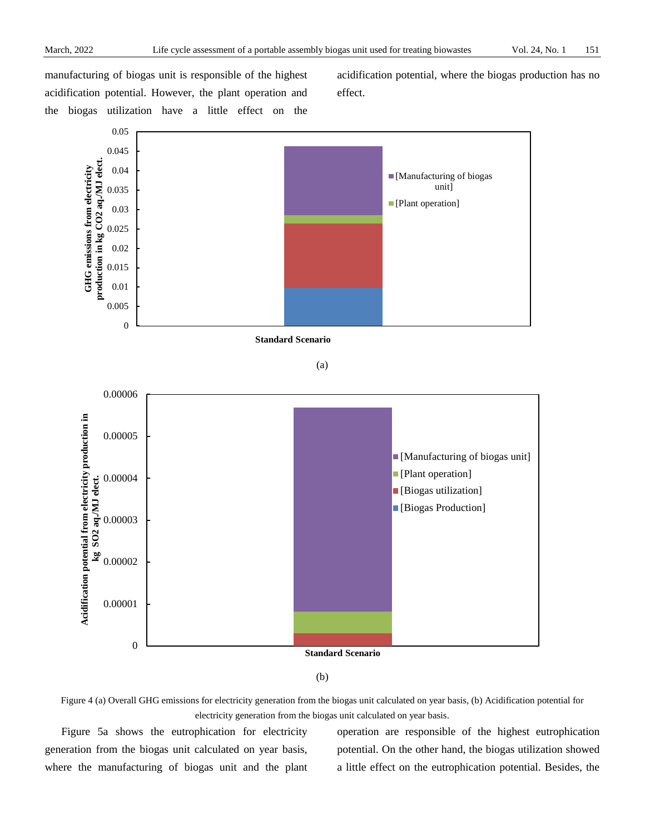manufacturing of biogas unit is responsible of the highest acidification potential. However, the plant operation and the biogas utilization have a little effect on the acidification potential, where the biogas production has no effect.



(b)

Figure 4 (a) Overall GHG emissions for electricity generation from the biogas unit calculated on year basis, (b) Acidification potential for electricity generation from the biogas unit calculated on year basis.

Figure 5a shows the eutrophication for electricity generation from the biogas unit calculated on year basis, where the manufacturing of biogas unit and the plant operation are responsible of the highest eutrophication potential. On the other hand, the biogas utilization showed a little effect on the eutrophication potential. Besides, the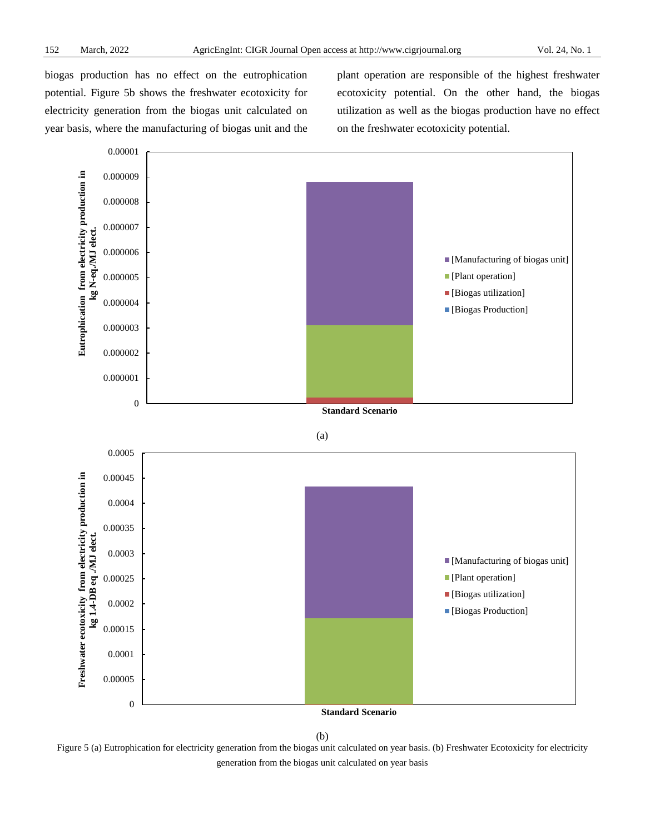biogas production has no effect on the eutrophication potential. Figure 5b shows the freshwater ecotoxicity for electricity generation from the biogas unit calculated on year basis, where the manufacturing of biogas unit and the plant operation are responsible of the highest freshwater ecotoxicity potential. On the other hand, the biogas utilization as well as the biogas production have no effect on the freshwater ecotoxicity potential.



(b)

Figure 5 (a) Eutrophication for electricity generation from the biogas unit calculated on year basis. (b) Freshwater Ecotoxicity for electricity generation from the biogas unit calculated on year basis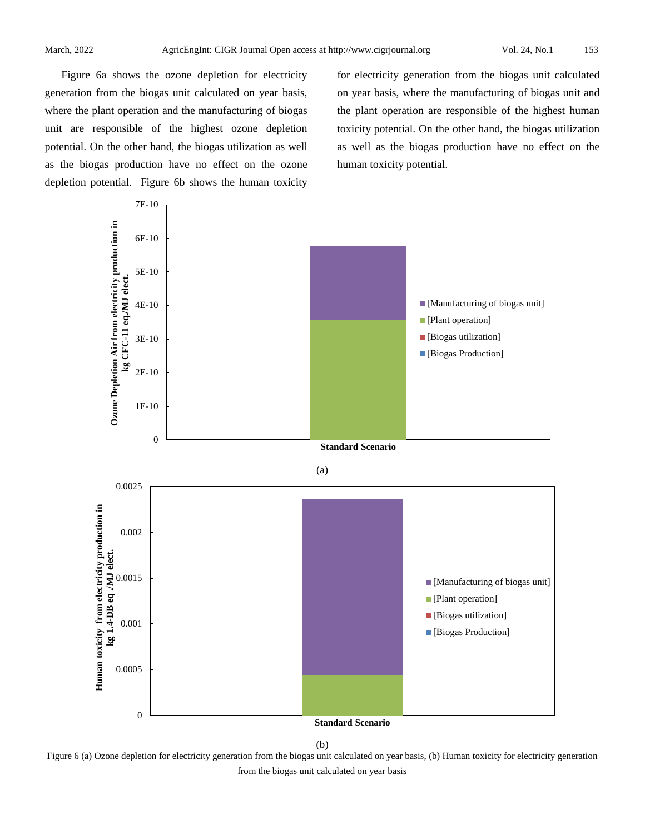Figure 6a shows the ozone depletion for electricity generation from the biogas unit calculated on year basis, where the plant operation and the manufacturing of biogas unit are responsible of the highest ozone depletion potential. On the other hand, the biogas utilization as well as the biogas production have no effect on the ozone depletion potential. Figure 6b shows the human toxicity

for electricity generation from the biogas unit calculated on year basis, where the manufacturing of biogas unit and the plant operation are responsible of the highest human toxicity potential. On the other hand, the biogas utilization as well as the biogas production have no effect on the human toxicity potential.



(b)

Figure 6 (a) Ozone depletion for electricity generation from the biogas unit calculated on year basis, (b) Human toxicity for electricity generation from the biogas unit calculated on year basis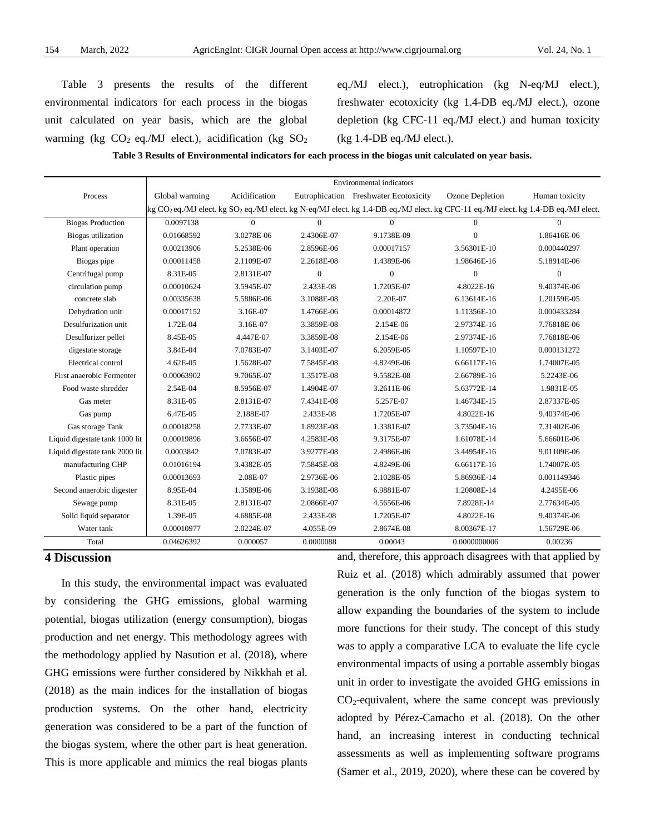Table 3 presents the results of the different environmental indicators for each process in the biogas unit calculated on year basis, which are the global warming (kg  $CO_2$  eq./MJ elect.), acidification (kg  $SO_2$  eq./MJ elect.), eutrophication (kg N-eq/MJ elect.), freshwater ecotoxicity (kg 1.4-DB eq./MJ elect.), ozone depletion (kg CFC-11 eq./MJ elect.) and human toxicity (kg 1.4-DB eq./MJ elect.).

**Table 3 Results of Environmental indicators for each process in the biogas unit calculated on year basis.** 

|                                | <b>Environmental indicators</b> |               |              |                                                                                                                                                             |                 |                |
|--------------------------------|---------------------------------|---------------|--------------|-------------------------------------------------------------------------------------------------------------------------------------------------------------|-----------------|----------------|
| Process                        | Global warming                  | Acidification |              | Eutrophication Freshwater Ecotoxicity                                                                                                                       | Ozone Depletion | Human toxicity |
|                                |                                 |               |              | kg CO <sub>2</sub> eq./MJ elect. kg SO <sub>2</sub> eq./MJ elect. kg N-eq/MJ elect. kg 1.4-DB eq./MJ elect. kg CFC-11 eq./MJ elect. kg 1.4-DB eq./MJ elect. |                 |                |
| <b>Biogas Production</b>       | 0.0097138                       | $\Omega$      | $\Omega$     | $\Omega$                                                                                                                                                    | $\Omega$        | $\Omega$       |
| Biogas utilization             | 0.01668592                      | 3.0278E-06    | 2.4306E-07   | 9.1738E-09                                                                                                                                                  | $\overline{0}$  | 1.86416E-06    |
| Plant operation                | 0.00213906                      | 5.2538E-06    | 2.8596E-06   | 0.00017157                                                                                                                                                  | 3.56301E-10     | 0.000440297    |
| Biogas pipe                    | 0.00011458                      | 2.1109E-07    | 2.2618E-08   | 1.4389E-06                                                                                                                                                  | 1.98646E-16     | 5.18914E-06    |
| Centrifugal pump               | 8.31E-05                        | 2.8131E-07    | $\mathbf{0}$ | $\Omega$                                                                                                                                                    | $\overline{0}$  | $\overline{0}$ |
| circulation pump               | 0.00010624                      | 3.5945E-07    | 2.433E-08    | 1.7205E-07                                                                                                                                                  | 4.8022E-16      | 9.40374E-06    |
| concrete slab                  | 0.00335638                      | 5.5886E-06    | 3.1088E-08   | 2.20E-07                                                                                                                                                    | 6.13614E-16     | 1.20159E-05    |
| Dehydration unit               | 0.00017152                      | 3.16E-07      | 1.4766E-06   | 0.00014872                                                                                                                                                  | 1.11356E-10     | 0.000433284    |
| Desulfurization unit           | 1.72E-04                        | 3.16E-07      | 3.3859E-08   | 2.154E-06                                                                                                                                                   | 2.97374E-16     | 7.76818E-06    |
| Desulfurizer pellet            | 8.45E-05                        | 4.447E-07     | 3.3859E-08   | 2.154E-06                                                                                                                                                   | 2.97374E-16     | 7.76818E-06    |
| digestate storage              | 3.84E-04                        | 7.0783E-07    | 3.1403E-07   | 6.2059E-05                                                                                                                                                  | 1.10597E-10     | 0.000131272    |
| Electrical control             | 4.62E-05                        | 1.5628E-07    | 7.5845E-08   | 4.8249E-06                                                                                                                                                  | 6.66117E-16     | 1.74007E-05    |
| First anaerobic Fermenter      | 0.00063902                      | 9.7065E-07    | 1.3517E-08   | 9.5582E-08                                                                                                                                                  | 2.66789E-16     | 5.2243E-06     |
| Food waste shredder            | 2.54E-04                        | 8.5956E-07    | 1.4904E-07   | 3.2611E-06                                                                                                                                                  | 5.63772E-14     | 1.9831E-05     |
| Gas meter                      | 8.31E-05                        | 2.8131E-07    | 7.4341E-08   | 5.257E-07                                                                                                                                                   | 1.46734E-15     | 2.87337E-05    |
| Gas pump                       | 6.47E-05                        | 2.188E-07     | 2.433E-08    | 1.7205E-07                                                                                                                                                  | 4.8022E-16      | 9.40374E-06    |
| Gas storage Tank               | 0.00018258                      | 2.7733E-07    | 1.8923E-08   | 1.3381E-07                                                                                                                                                  | 3.73504E-16     | 7.31402E-06    |
| Liquid digestate tank 1000 lit | 0.00019896                      | 3.6656E-07    | 4.2583E-08   | 9.3175E-07                                                                                                                                                  | 1.61078E-14     | 5.66601E-06    |
| Liquid digestate tank 2000 lit | 0.0003842                       | 7.0783E-07    | 3.9277E-08   | 2.4986E-06                                                                                                                                                  | 3.44954E-16     | 9.01109E-06    |
| manufacturing CHP              | 0.01016194                      | 3.4382E-05    | 7.5845E-08   | 4.8249E-06                                                                                                                                                  | 6.66117E-16     | 1.74007E-05    |
| Plastic pipes                  | 0.00013693                      | 2.08E-07      | 2.9736E-06   | 2.1028E-05                                                                                                                                                  | 5.86936E-14     | 0.001149346    |
| Second anaerobic digester      | 8.95E-04                        | 1.3589E-06    | 3.1938E-08   | 6.9881E-07                                                                                                                                                  | 1.20808E-14     | 4.2495E-06     |
| Sewage pump                    | 8.31E-05                        | 2.8131E-07    | 2.0866E-07   | 4.5656E-06                                                                                                                                                  | 7.8928E-14      | 2.77634E-05    |
| Solid liquid separator         | 1.39E-05                        | 4.6885E-08    | 2.433E-08    | 1.7205E-07                                                                                                                                                  | 4.8022E-16      | 9.40374E-06    |
| Water tank                     | 0.00010977                      | 2.0224E-07    | 4.055E-09    | 2.8674E-08                                                                                                                                                  | 8.00367E-17     | 1.56729E-06    |
| Total                          | 0.04626392                      | 0.000057      | 0.0000088    | 0.00043                                                                                                                                                     | 0.0000000006    | 0.00236        |

# **4 Discussion**

In this study, the environmental impact was evaluated by considering the GHG emissions, global warming potential, biogas utilization (energy consumption), biogas production and net energy. This methodology agrees with the methodology applied by Nasution et al. (2018), where GHG emissions were further considered by Nikkhah et al. (2018) as the main indices for the installation of biogas production systems. On the other hand, electricity generation was considered to be a part of the function of the biogas system, where the other part is heat generation. This is more applicable and mimics the real biogas plants

and, therefore, this approach disagrees with that applied by Ruiz et al. (2018) which admirably assumed that power generation is the only function of the biogas system to allow expanding the boundaries of the system to include more functions for their study. The concept of this study was to apply a comparative LCA to evaluate the life cycle environmental impacts of using a portable assembly biogas unit in order to investigate the avoided GHG emissions in  $CO<sub>2</sub>$ -equivalent, where the same concept was previously adopted by Pérez-Camacho et al. (2018). On the other hand, an increasing interest in conducting technical assessments as well as implementing software programs (Samer et al., 2019, 2020), where these can be covered by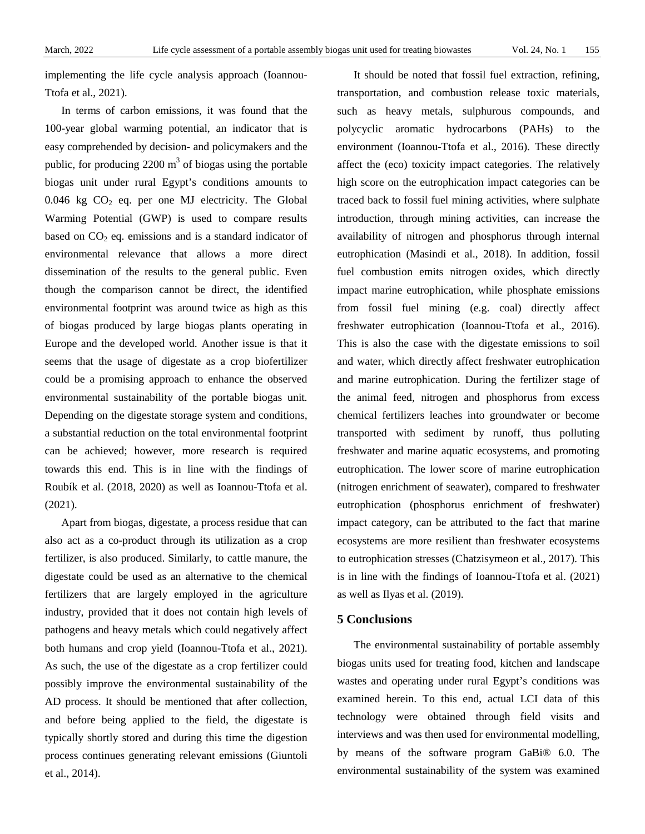implementing the life cycle analysis approach (Ioannou-Ttofa et al., 2021).

In terms of carbon emissions, it was found that the 100-year global warming potential, an indicator that is easy comprehended by decision- and policymakers and the public, for producing  $2200 \text{ m}^3$  of biogas using the portable biogas unit under rural Egypt's conditions amounts to  $0.046$  kg  $CO<sub>2</sub>$  eq. per one MJ electricity. The Global Warming Potential (GWP) is used to compare results based on  $CO<sub>2</sub>$  eq. emissions and is a standard indicator of environmental relevance that allows a more direct dissemination of the results to the general public. Even though the comparison cannot be direct, the identified environmental footprint was around twice as high as this of biogas produced by large biogas plants operating in Europe and the developed world. Another issue is that it seems that the usage of digestate as a crop biofertilizer could be a promising approach to enhance the observed environmental sustainability of the portable biogas unit. Depending on the digestate storage system and conditions, a substantial reduction on the total environmental footprint can be achieved; however, more research is required towards this end. This is in line with the findings of Roubík et al. (2018, 2020) as well as Ioannou-Ttofa et al. (2021).

Apart from biogas, digestate, a process residue that can also act as a co-product through its utilization as a crop fertilizer, is also produced. Similarly, to cattle manure, the digestate could be used as an alternative to the chemical fertilizers that are largely employed in the agriculture industry, provided that it does not contain high levels of pathogens and heavy metals which could negatively affect both humans and crop yield (Ioannou-Ttofa et al., 2021). As such, the use of the digestate as a crop fertilizer could possibly improve the environmental sustainability of the AD process. It should be mentioned that after collection, and before being applied to the field, the digestate is typically shortly stored and during this time the digestion process continues generating relevant emissions (Giuntoli et al., 2014).

It should be noted that fossil fuel extraction, refining, transportation, and combustion release toxic materials, such as heavy metals, sulphurous compounds, and polycyclic aromatic hydrocarbons (PAHs) to the environment (Ioannou-Ttofa et al., 2016). These directly affect the (eco) toxicity impact categories. The relatively high score on the eutrophication impact categories can be traced back to fossil fuel mining activities, where sulphate introduction, through mining activities, can increase the availability of nitrogen and phosphorus through internal eutrophication (Masindi et al., 2018). In addition, fossil fuel combustion emits nitrogen oxides, which directly impact marine eutrophication, while phosphate emissions from fossil fuel mining (e.g. coal) directly affect freshwater eutrophication (Ioannou-Ttofa et al., 2016). This is also the case with the digestate emissions to soil and water, which directly affect freshwater eutrophication and marine eutrophication. During the fertilizer stage of the animal feed, nitrogen and phosphorus from excess chemical fertilizers leaches into groundwater or become transported with sediment by runoff, thus polluting freshwater and marine aquatic ecosystems, and promoting eutrophication. The lower score of marine eutrophication (nitrogen enrichment of seawater), compared to freshwater eutrophication (phosphorus enrichment of freshwater) impact category, can be attributed to the fact that marine ecosystems are more resilient than freshwater ecosystems to eutrophication stresses (Chatzisymeon et al., 2017). This is in line with the findings of Ioannou-Ttofa et al. (2021) as well as Ilyas et al. (2019).

### **5 Conclusions**

The environmental sustainability of portable assembly biogas units used for treating food, kitchen and landscape wastes and operating under rural Egypt's conditions was examined herein. To this end, actual LCI data of this technology were obtained through field visits and interviews and was then used for environmental modelling, by means of the software program GaBi® 6.0. The environmental sustainability of the system was examined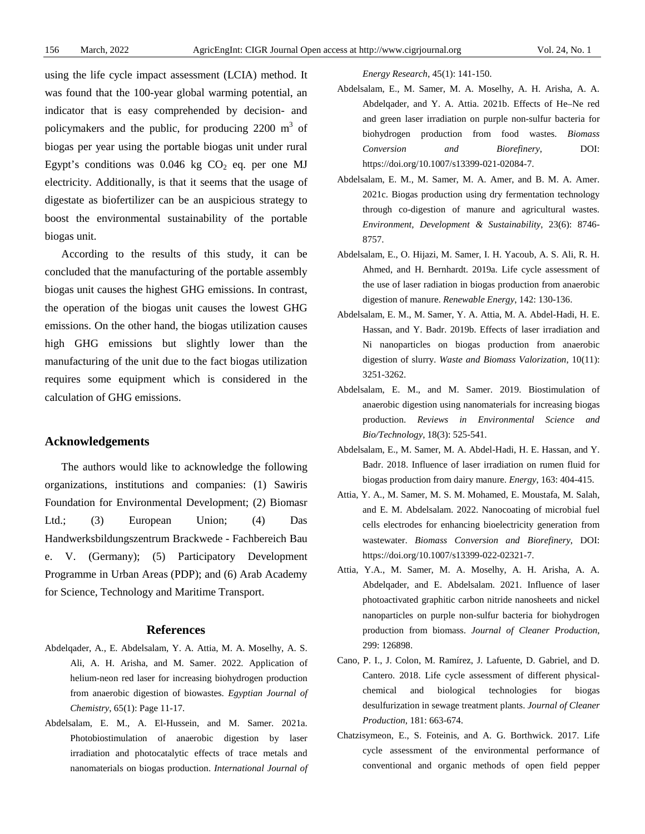using the life cycle impact assessment (LCIA) method. It was found that the 100-year global warming potential, an indicator that is easy comprehended by decision- and policymakers and the public, for producing  $2200 \text{ m}^3$  of biogas per year using the portable biogas unit under rural Egypt's conditions was  $0.046$  kg  $CO<sub>2</sub>$  eq. per one MJ electricity. Additionally, is that it seems that the usage of digestate as biofertilizer can be an auspicious strategy to boost the environmental sustainability of the portable biogas unit.

According to the results of this study, it can be concluded that the manufacturing of the portable assembly biogas unit causes the highest GHG emissions. In contrast, the operation of the biogas unit causes the lowest GHG emissions. On the other hand, the biogas utilization causes high GHG emissions but slightly lower than the manufacturing of the unit due to the fact biogas utilization requires some equipment which is considered in the calculation of GHG emissions.

#### **Acknowledgements**

The authors would like to acknowledge the following organizations, institutions and companies: (1) Sawiris Foundation for Environmental Development; (2) Biomasr Ltd.; (3) European Union; (4) Das Handwerksbildungszentrum Brackwede - Fachbereich Bau e. V. (Germany); (5) Participatory Development Programme in Urban Areas (PDP); and (6) Arab Academy for Science, Technology and Maritime Transport.

#### **References**

- Abdelqader, A., E. Abdelsalam, Y. A. Attia, M. A. Moselhy, A. S. Ali, A. H. Arisha, and M. Samer. 2022. Application of helium-neon red laser for increasing biohydrogen production from anaerobic digestion of biowastes. *Egyptian Journal of Chemistry*, 65(1): Page 11-17.
- Abdelsalam, E. M., A. El-Hussein, and M. Samer. 2021a. Photobiostimulation of anaerobic digestion by laser irradiation and photocatalytic effects of trace metals and nanomaterials on biogas production. *International Journal of*

*Energy Research*, 45(1): 141-150.

- Abdelsalam, E., M. Samer, M. A. Moselhy, A. H. Arisha, A. A. Abdelqader, and Y. A. Attia. 2021b. Effects of He–Ne red and green laser irradiation on purple non-sulfur bacteria for biohydrogen production from food wastes. *Biomass Conversion and Biorefinery*, DOI: https://doi.org/10.1007/s13399-021-02084-7.
- Abdelsalam, E. M., M. Samer, M. A. Amer, and B. M. A. Amer. 2021c. Biogas production using dry fermentation technology through co-digestion of manure and agricultural wastes. *Environment, Development & Sustainability*, 23(6): 8746- 8757.
- Abdelsalam, E., O. Hijazi, M. Samer, I. H. Yacoub, A. S. Ali, R. H. Ahmed, and H. Bernhardt. 2019a. Life cycle assessment of the use of laser radiation in biogas production from anaerobic digestion of manure. *Renewable Energy*, 142: 130-136.
- Abdelsalam, E. M., M. Samer, Y. A. Attia, M. A. Abdel-Hadi, H. E. Hassan, and Y. Badr. 2019b. Effects of laser irradiation and Ni nanoparticles on biogas production from anaerobic digestion of slurry. *Waste and Biomass Valorization*, 10(11): 3251-3262.
- Abdelsalam, E. M., and M. Samer. 2019. Biostimulation of anaerobic digestion using nanomaterials for increasing biogas production. *Reviews in Environmental Science and Bio/Technology*, 18(3): 525-541.
- Abdelsalam, E., M. Samer, M. A. Abdel-Hadi, H. E. Hassan, and Y. Badr. 2018. Influence of laser irradiation on rumen fluid for biogas production from dairy manure. *Energy*, 163: 404-415.
- Attia, Y. A., M. Samer, M. S. M. Mohamed, E. Moustafa, M. Salah, and E. M. Abdelsalam. 2022. Nanocoating of microbial fuel cells electrodes for enhancing bioelectricity generation from wastewater. *Biomass Conversion and Biorefinery*, DOI: https://doi.org/10.1007/s13399-022-02321-7.
- Attia, Y.A., M. Samer, M. A. Moselhy, A. H. Arisha, A. A. Abdelqader, and E. Abdelsalam. 2021. Influence of laser photoactivated graphitic carbon nitride nanosheets and nickel nanoparticles on purple non-sulfur bacteria for biohydrogen production from biomass. *Journal of Cleaner Production*, 299: 126898.
- Cano, P. I., J. Colon, M. Ramírez, J. Lafuente, D. Gabriel, and D. Cantero. 2018. Life cycle assessment of different physicalchemical and biological technologies for biogas desulfurization in sewage treatment plants. *Journal of Cleaner Production*, 181: 663-674.
- Chatzisymeon, E., S. Foteinis, and A. G. Borthwick. 2017. Life cycle assessment of the environmental performance of conventional and organic methods of open field pepper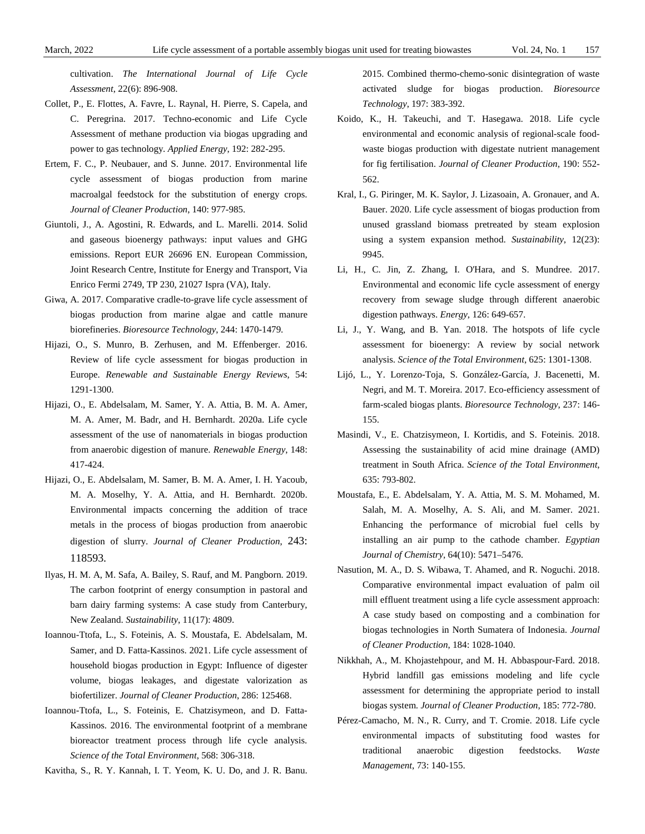cultivation. *The International Journal of Life Cycle Assessment*, 22(6): 896-908.

- Collet, P., E. Flottes, A. Favre, L. Raynal, H. Pierre, S. Capela, and C. Peregrina. 2017. Techno-economic and Life Cycle Assessment of methane production via biogas upgrading and power to gas technology. *Applied Energy*, 192: 282-295.
- Ertem, F. C., P. Neubauer, and S. Junne. 2017. Environmental life cycle assessment of biogas production from marine macroalgal feedstock for the substitution of energy crops. *Journal of Cleaner Production*, 140: 977-985.
- Giuntoli, J., A. Agostini, R. Edwards, and L. Marelli. 2014. Solid and gaseous bioenergy pathways: input values and GHG emissions. Report EUR 26696 EN. European Commission, Joint Research Centre, Institute for Energy and Transport, Via Enrico Fermi 2749, TP 230, 21027 Ispra (VA), Italy.
- Giwa, A. 2017. Comparative cradle-to-grave life cycle assessment of biogas production from marine algae and cattle manure biorefineries. *Bioresource Technology*, 244: 1470-1479.
- Hijazi, O., S. Munro, B. Zerhusen, and M. Effenberger. 2016. Review of life cycle assessment for biogas production in Europe. *Renewable and Sustainable Energy Reviews*, 54: 1291-1300.
- Hijazi, O., E. Abdelsalam, M. Samer, Y. A. Attia, B. M. A. Amer, M. A. Amer, M. Badr, and H. Bernhardt. 2020a. Life cycle assessment of the use of nanomaterials in biogas production from anaerobic digestion of manure. *Renewable Energy*, 148: 417-424.
- Hijazi, O., E. Abdelsalam, M. Samer, B. M. A. Amer, I. H. Yacoub, M. A. Moselhy, Y. A. Attia, and H. Bernhardt. 2020b. Environmental impacts concerning the addition of trace metals in the process of biogas production from anaerobic digestion of slurry. *Journal of Cleaner Production*, 243: 118593.
- Ilyas, H. M. A, M. Safa, A. Bailey, S. Rauf, and M. Pangborn. 2019. The carbon footprint of energy consumption in pastoral and barn dairy farming systems: A case study from Canterbury, New Zealand. *Sustainability*, 11(17): 4809.
- Ioannou-Ttofa, L., S. Foteinis, A. S. Moustafa, E. Abdelsalam, M. Samer, and D. Fatta-Kassinos. 2021. Life cycle assessment of household biogas production in Egypt: Influence of digester volume, biogas leakages, and digestate valorization as biofertilizer. *Journal of Cleaner Production*, 286: 125468.
- Ioannou-Ttofa, L., S. Foteinis, E. Chatzisymeon, and D. Fatta-Kassinos. 2016. The environmental footprint of a membrane bioreactor treatment process through life cycle analysis. *Science of the Total Environment*, 568: 306-318.

Kavitha, S., R. Y. Kannah, I. T. Yeom, K. U. Do, and J. R. Banu.

2015. Combined thermo-chemo-sonic disintegration of waste activated sludge for biogas production. *Bioresource Technology*, 197: 383-392.

- Koido, K., H. Takeuchi, and T. Hasegawa. 2018. Life cycle environmental and economic analysis of regional-scale foodwaste biogas production with digestate nutrient management for fig fertilisation. *Journal of Cleaner Production*, 190: 552- 562.
- Kral, I., G. Piringer, M. K. Saylor, J. Lizasoain, A. Gronauer, and A. Bauer. 2020. Life cycle assessment of biogas production from unused grassland biomass pretreated by steam explosion using a system expansion method. *Sustainability*, 12(23): 9945.
- Li, H., C. Jin, Z. Zhang, I. O'Hara, and S. Mundree. 2017. Environmental and economic life cycle assessment of energy recovery from sewage sludge through different anaerobic digestion pathways. *Energy*, 126: 649-657.
- Li, J., Y. Wang, and B. Yan. 2018. The hotspots of life cycle assessment for bioenergy: A review by social network analysis. *Science of the Total Environment*, 625: 1301-1308.
- Lijó, L., Y. Lorenzo-Toja, S. González-García, J. Bacenetti, M. Negri, and M. T. Moreira. 2017. Eco-efficiency assessment of farm-scaled biogas plants. *Bioresource Technology*, 237: 146- 155.
- Masindi, V., E. Chatzisymeon, I. Kortidis, and S. Foteinis. 2018. Assessing the sustainability of acid mine drainage (AMD) treatment in South Africa. *Science of the Total Environment*, 635: 793-802.
- Moustafa, E., E. Abdelsalam, Y. A. Attia, M. S. M. Mohamed, M. Salah, M. A. Moselhy, A. S. Ali, and M. Samer. 2021. Enhancing the performance of microbial fuel cells by installing an air pump to the cathode chamber. *Egyptian Journal of Chemistry*, 64(10): 5471–5476.
- Nasution, M. A., D. S. Wibawa, T. Ahamed, and R. Noguchi. 2018. Comparative environmental impact evaluation of palm oil mill effluent treatment using a life cycle assessment approach: A case study based on composting and a combination for biogas technologies in North Sumatera of Indonesia. *Journal of Cleaner Production*, 184: 1028-1040.
- Nikkhah, A., M. Khojastehpour, and M. H. Abbaspour-Fard. 2018. Hybrid landfill gas emissions modeling and life cycle assessment for determining the appropriate period to install biogas system. *Journal of Cleaner Production*, 185: 772-780.
- Pérez-Camacho, M. N., R. Curry, and T. Cromie. 2018. Life cycle environmental impacts of substituting food wastes for traditional anaerobic digestion feedstocks. *Waste Management*, 73: 140-155.